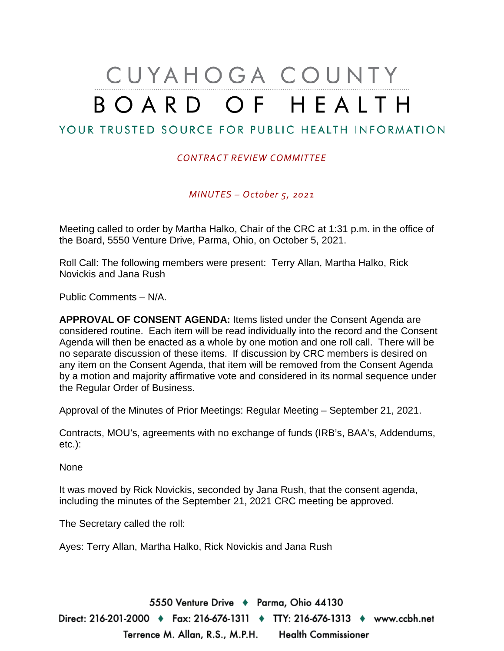## CUYAHOGA COUNTY BOARD OF HEALTH

## YOUR TRUSTED SOURCE FOR PUBLIC HEALTH INFORMATION

## *CONTRACT REVIEW COMMITTEE*

*MINUTES – October 5, 2021*

Meeting called to order by Martha Halko, Chair of the CRC at 1:31 p.m. in the office of the Board, 5550 Venture Drive, Parma, Ohio, on October 5, 2021.

Roll Call: The following members were present: Terry Allan, Martha Halko, Rick Novickis and Jana Rush

Public Comments – N/A.

**APPROVAL OF CONSENT AGENDA:** Items listed under the Consent Agenda are considered routine. Each item will be read individually into the record and the Consent Agenda will then be enacted as a whole by one motion and one roll call. There will be no separate discussion of these items. If discussion by CRC members is desired on any item on the Consent Agenda, that item will be removed from the Consent Agenda by a motion and majority affirmative vote and considered in its normal sequence under the Regular Order of Business.

Approval of the Minutes of Prior Meetings: Regular Meeting – September 21, 2021.

Contracts, MOU's, agreements with no exchange of funds (IRB's, BAA's, Addendums, etc.):

None

It was moved by Rick Novickis, seconded by Jana Rush, that the consent agenda, including the minutes of the September 21, 2021 CRC meeting be approved.

The Secretary called the roll:

Ayes: Terry Allan, Martha Halko, Rick Novickis and Jana Rush

5550 Venture Drive + Parma, Ohio 44130 Direct: 216-201-2000 ♦ Fax: 216-676-1311 ♦ TTY: 216-676-1313 ♦ www.ccbh.net Terrence M. Allan, R.S., M.P.H. Health Commissioner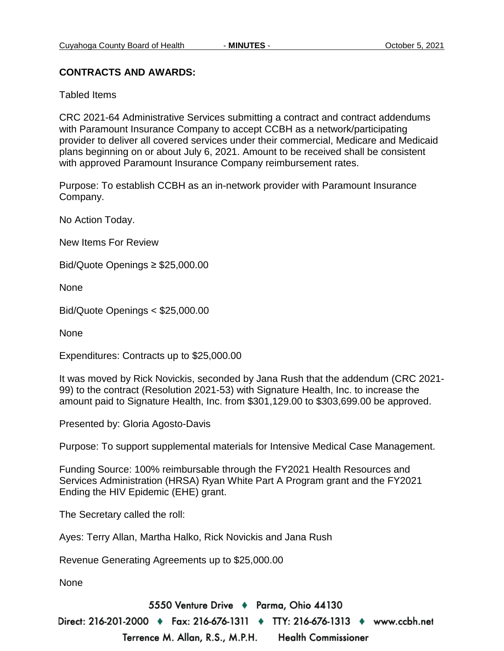## **CONTRACTS AND AWARDS:**

Tabled Items

CRC 2021-64 Administrative Services submitting a contract and contract addendums with Paramount Insurance Company to accept CCBH as a network/participating provider to deliver all covered services under their commercial, Medicare and Medicaid plans beginning on or about July 6, 2021. Amount to be received shall be consistent with approved Paramount Insurance Company reimbursement rates.

Purpose: To establish CCBH as an in-network provider with Paramount Insurance Company.

No Action Today.

New Items For Review

Bid/Quote Openings ≥ \$25,000.00

None

Bid/Quote Openings < \$25,000.00

None

Expenditures: Contracts up to \$25,000.00

It was moved by Rick Novickis, seconded by Jana Rush that the addendum (CRC 2021- 99) to the contract (Resolution 2021-53) with Signature Health, Inc. to increase the amount paid to Signature Health, Inc. from \$301,129.00 to \$303,699.00 be approved.

Presented by: Gloria Agosto-Davis

Purpose: To support supplemental materials for Intensive Medical Case Management.

Funding Source: 100% reimbursable through the FY2021 Health Resources and Services Administration (HRSA) Ryan White Part A Program grant and the FY2021 Ending the HIV Epidemic (EHE) grant.

The Secretary called the roll:

Ayes: Terry Allan, Martha Halko, Rick Novickis and Jana Rush

Revenue Generating Agreements up to \$25,000.00

None

5550 Venture Drive + Parma, Ohio 44130 Direct: 216-201-2000 ♦ Fax: 216-676-1311 ♦ TTY: 216-676-1313 ♦ www.ccbh.net

Terrence M. Allan, R.S., M.P.H. **Health Commissioner**